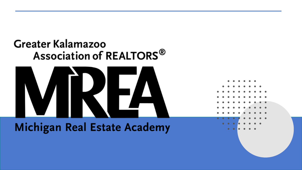### **Greater Kalamazoo** Association of REALTORS<sup>®</sup>



#### **Michigan Real Estate Academy**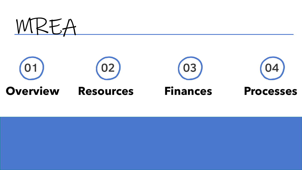

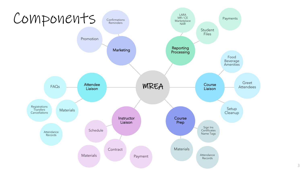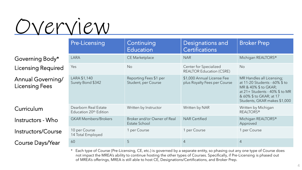# Overview

| Governing Body*                                   |
|---------------------------------------------------|
| <b>Licensing Required</b>                         |
| <b>Annual Governing/</b><br><b>Licensing Fees</b> |

Course Days/Year

|                                                   | Pre-Licensing                                              | Continuing<br><b>Education</b>                | <b>Designations and</b><br><b>Certifications</b>           | <b>Broker Prep</b>                                                                                                                                                              |
|---------------------------------------------------|------------------------------------------------------------|-----------------------------------------------|------------------------------------------------------------|---------------------------------------------------------------------------------------------------------------------------------------------------------------------------------|
| Governing Body*                                   | LARA                                                       | CE Marketplace                                | <b>NAR</b>                                                 | Michigan REALTORS®                                                                                                                                                              |
| <b>Licensing Required</b>                         | Yes                                                        | <b>No</b>                                     | Center for Specialized<br><b>REALTOR Education (CSRE)</b>  | <b>No</b>                                                                                                                                                                       |
| <b>Annual Governing/</b><br><b>Licensing Fees</b> | LARA \$1,140<br>Surety Bond \$342                          | Reporting Fees \$1 per<br>Student, per Course | \$1,000 Annual License Fee<br>plus Royalty Fees per Course | MR Handles all Licensing;<br>at 11-20 Students - 60% \$ to<br>MR & 40% \$ to GKAR;<br>at 21+ Students - 40% \$ to MR<br>& 60% \$ to GKAR; at 17<br>Students, GKAR makes \$1,000 |
| Curriculum                                        | Dearborn Real Estate<br>Education 20 <sup>th</sup> Edition | Written by Instructor                         | Written by NAR                                             | Written by Michigan<br><b>REALTORS®</b>                                                                                                                                         |
| Instructors - Who                                 | <b>GKAR Members/Brokers</b>                                | Broker and/or Owner of Real<br>Estate School  | <b>NAR Certified</b>                                       | Michigan REALTORS®<br>Approved                                                                                                                                                  |
| <b>Instructors/Course</b>                         | 10 per Course<br>14 Total Employed                         | 1 per Course                                  | 1 per Course                                               | 1 per Course                                                                                                                                                                    |
| <b>Course Days/Year</b>                           | 60                                                         | 5                                             | $\overline{4}$                                             | $\overline{4}$                                                                                                                                                                  |

Each type of Course (Pre-Licensing, CE, etc.) is governed by a separate entity, so phasing out any one type of Course does not impact the MREA's ability to continue hosting the other types of Courses. Specifically, if Pre-Licensing is phased out of MREA's offerings, MREA is still able to host CE, Designations/Certifications, and Broker Prep.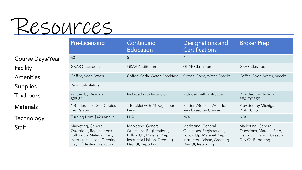

| <b>Course Days/Year</b> | 60                                  |
|-------------------------|-------------------------------------|
| Facility                | <b>GKAR Classroom</b>               |
| Amenities               | Coffee, Soda, Wa                    |
| <b>Supplies</b>         | Pens, Calculators                   |
| <b>Textbooks</b>        | Written by Dearb<br>\$28.60 each    |
| <b>Materials</b>        | 1 Binder, Tabs, 30<br>per Person    |
| Technology              | Turning Point \$4.                  |
| Staff                   | Marketing, Gene<br>Questions, Regis |

|                  | <b>Pre-Licensing</b>                                                                                                                       | Continuing<br><b>Education</b>                                                                                                    | <b>Designations and</b><br><b>Certifications</b>                                                                                  | <b>Broker Prep</b>                                                                                   |
|------------------|--------------------------------------------------------------------------------------------------------------------------------------------|-----------------------------------------------------------------------------------------------------------------------------------|-----------------------------------------------------------------------------------------------------------------------------------|------------------------------------------------------------------------------------------------------|
| Course Days/Year | 60                                                                                                                                         | 5                                                                                                                                 | 4                                                                                                                                 | $\overline{4}$                                                                                       |
| Facility         | <b>GKAR Classroom</b>                                                                                                                      | <b>GKAR Auditorium</b>                                                                                                            | <b>GKAR Classroom</b>                                                                                                             | <b>GKAR Classroom</b>                                                                                |
| <b>Amenities</b> | Coffee, Soda, Water                                                                                                                        | Coffee, Soda, Water, Breakfast                                                                                                    | Coffee, Soda, Water, Snacks                                                                                                       | Coffee, Soda, Water, Snacks                                                                          |
| <b>Supplies</b>  | Pens, Calculators                                                                                                                          |                                                                                                                                   |                                                                                                                                   |                                                                                                      |
| Textbooks        | Written by Dearborn<br>\$28.60 each                                                                                                        | Included with Instructor                                                                                                          | Included with Instructor                                                                                                          | Provided by Michigan<br><b>REALTORS®</b>                                                             |
| <b>Materials</b> | 1 Binder, Tabs, 305 Copies<br>per Person                                                                                                   | 1 Booklet with 74 Pages per<br>Person                                                                                             | Binders/Booklets/Handouts<br>vary based on Course                                                                                 | Provided by Michigan<br><b>REALTORS®</b>                                                             |
| Technology       | Turning Point \$420 annual                                                                                                                 | N/A                                                                                                                               | N/A                                                                                                                               | N/A                                                                                                  |
| Staff            | Marketing, General<br>Questions, Registrations,<br>Follow Up, Material Prep,<br>Instructor Liaison, Greeting<br>Day Of, Testing, Reporting | Marketing, General<br>Questions, Registrations,<br>Follow Up, Material Prep,<br>Instructor Liaison, Greeting<br>Day Of, Reporting | Marketing, General<br>Questions, Registrations,<br>Follow Up, Material Prep,<br>Instructor Liaison, Greeting<br>Day Of, Reporting | Marketing, General<br>Questions, Material Prep,<br>Instructor Liaison, Greeting<br>Day Of, Reporting |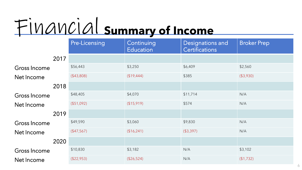# Financial **Summary of Income**

|                     |      | Pre-Licensing | Continuing<br><b>Education</b> | <b>Designations and</b><br><b>Certifications</b> | <b>Broker Prep</b> |
|---------------------|------|---------------|--------------------------------|--------------------------------------------------|--------------------|
|                     | 2017 |               |                                |                                                  |                    |
| Gross Income        |      | \$56,443      | \$3,250                        | \$6,409                                          | \$2,560            |
| Net Income          |      | (\$43,808)    | (\$19,444)                     | \$385                                            | (\$3,930)          |
|                     | 2018 |               |                                |                                                  |                    |
| Gross Income        |      | \$48,405      | \$4,070                        | \$11,714                                         | N/A                |
| Net Income          |      | (\$51,092)    | (\$15,919)                     | \$574                                            | N/A                |
|                     | 2019 |               |                                |                                                  |                    |
| <b>Gross Income</b> |      | \$49,590      | \$3,060                        | \$9,830                                          | N/A                |
| Net Income          |      | (\$47,567)    | (\$16,241)                     | ( \$3,397)                                       | N/A                |
|                     | 2020 |               |                                |                                                  |                    |
| Gross Income        |      | \$10,830      | \$3,182                        | N/A                                              | \$3,102            |
| Net Income          |      | (\$22,953)    | (\$26,524)                     | N/A                                              | ( \$1,732)         |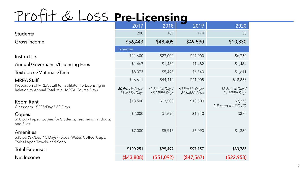## Profit & Loss **Pre-Licensing**

|                                                                                                             | 2017                             | 2018                             | 2019                             | 2020                             |
|-------------------------------------------------------------------------------------------------------------|----------------------------------|----------------------------------|----------------------------------|----------------------------------|
| <b>Students</b>                                                                                             | 200                              | 169                              | 174                              | 38                               |
| Gross Income                                                                                                | \$56,443                         | \$48,405                         | \$49,590                         | \$10,830                         |
|                                                                                                             | <b>Expenses</b>                  |                                  |                                  |                                  |
| Instructors                                                                                                 | \$21,600                         | \$27,000                         | \$27,000                         | \$6,750                          |
| <b>Annual Governance/Licensing Fees</b>                                                                     | \$1,467                          | \$1,480                          | \$1,482                          | \$1,484                          |
| Textbooks/Materials/Tech                                                                                    | \$8,073                          | \$5,498                          | \$6,340                          | \$1,611                          |
| <b>MREA Staff</b>                                                                                           | \$46,611                         | \$44,414                         | \$41,005                         | \$18,853                         |
| Proportion of MREA Staff to Facilitate Pre-Licensing in<br>Relation to Annual Total of all MREA Course Days | 60 Pre-Lic Days/<br>71 MREA Days | 60 Pre-Lic Days/<br>68 MREA Days | 60 Pre-Lic Days/<br>69 MREA Days | 15 Pre-Lic Days/<br>21 MREA Days |
| <b>Room Rent</b><br>Classroom - \$225/Day * 60 Days                                                         | \$13,500                         | \$13,500                         | \$13,500                         | \$3,375<br>Adjusted for COVID    |
| Copies<br>\$10 pp - Paper, Copies for Students, Teachers, Handouts,<br>and Files                            | \$2,000                          | \$1,690                          | \$1,740                          | \$380                            |
| Amenities<br>\$35 pp (\$7/Day * 5 Days) - Soda, Water, Coffee, Cups,<br>Toilet Paper, Towels, and Soap      | \$7,000                          | \$5,915                          | \$6,090                          | \$1,330                          |
| <b>Total Expenses</b>                                                                                       | \$100,251                        | \$99,497                         | \$97,157                         | \$33,783                         |
| Net Income                                                                                                  | $($ \$43,808)                    | (\$51,092)                       | (\$47,567)                       | (\$22,953)                       |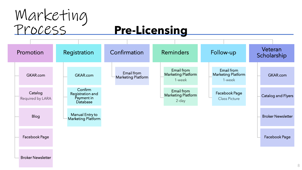

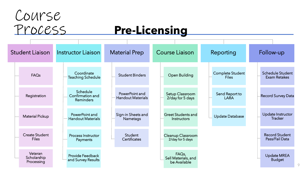

# Process **Pre-Licensing**

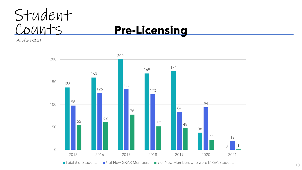

*As of 2-1-2021*